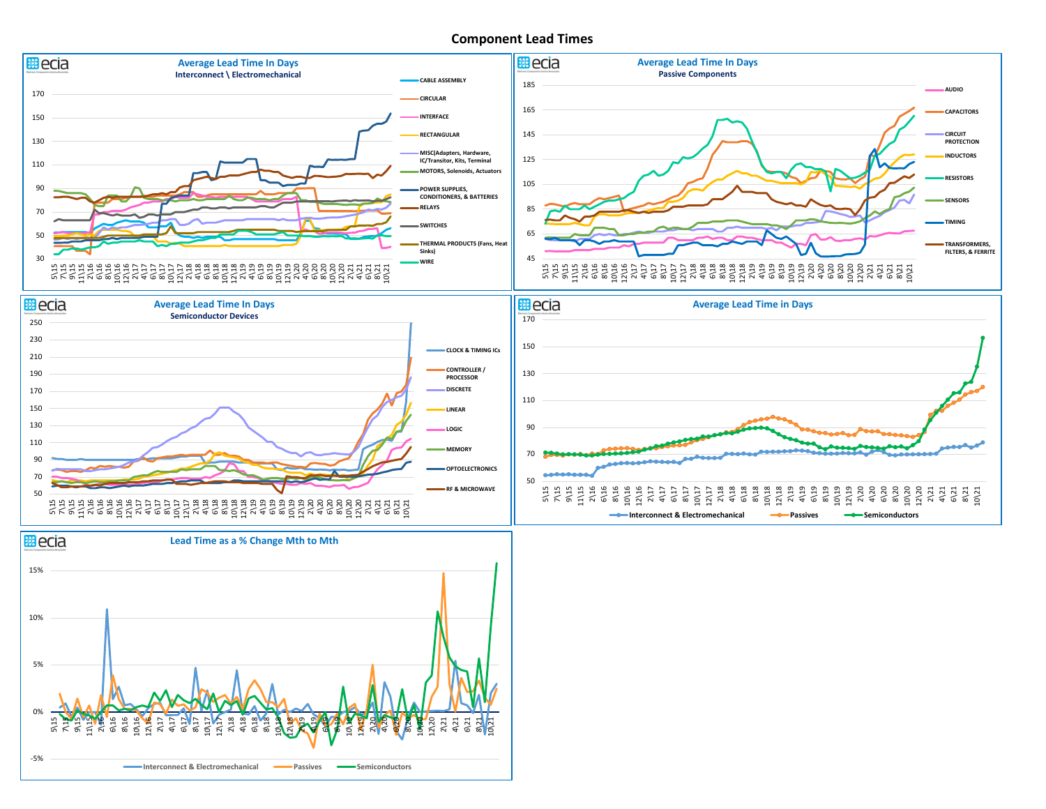**Component Lead Times**